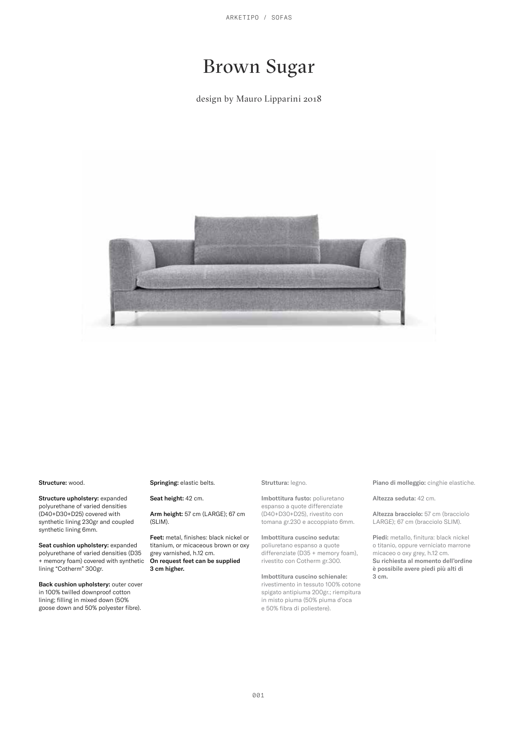# Brown Sugar

# design by Mauro Lipparini 2018



#### Structure: wood.

Structure upholstery: expanded polyurethane of varied densities (D40+D30+D25) covered with synthetic lining 230gr and coupled synthetic lining 6mm.

Seat cushion upholstery: expanded polyurethane of varied densities (D35 + memory foam) covered with synthetic lining "Cotherm" 300gr.

Back cushion upholstery: outer cover in 100% twilled downproof cotton lining; filling in mixed down (50% goose down and 50% polyester fibre).

#### Springing: elastic belts.

Seat height: 42 cm.

Arm height: 57 cm (LARGE); 67 cm (SLIM).

Feet: metal, finishes: black nickel or titanium, or micaceous brown or oxy grey varnished, h.12 cm. On request feet can be supplied 3 cm higher.

#### Struttura: legno.

Imbottitura fusto: poliuretano espanso a quote differenziate (D40+D30+D25), rivestito con tomana gr.230 e accoppiato 6mm.

Imbottitura cuscino seduta: poliuretano espanso a quote differenziate (D35 + memory foam), rivestito con Cotherm gr.300.

Imbottitura cuscino schienale: rivestimento in tessuto 100% cotone spigato antipiuma 200gr.; riempitura in misto piuma (50% piuma d'oca e 50% fibra di poliestere).

Piano di molleggio: cinghie elastiche.

Altezza seduta: 42 cm.

Altezza bracciolo: 57 cm (bracciolo LARGE); 67 cm (bracciolo SLIM).

Piedi: metallo, finitura: black nickel o titanio, oppure verniciato marrone micaceo o oxy grey, h.12 cm. Su richiesta al momento dell'ordine è possibile avere piedi più alti di 3 cm.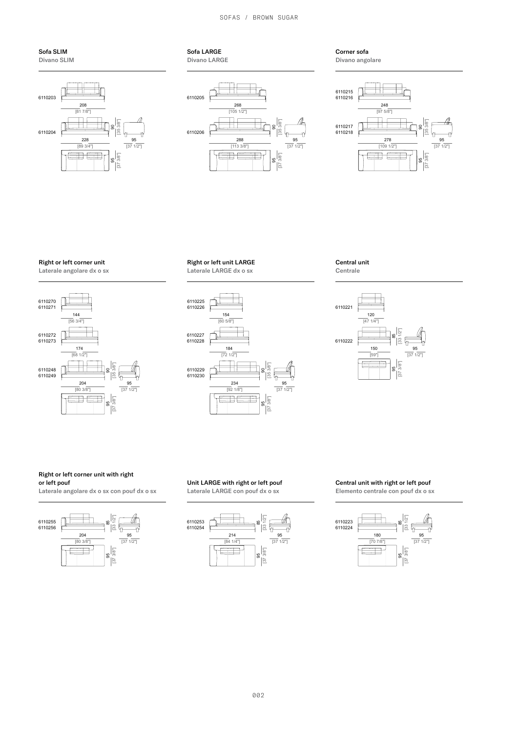#### SOFAS / BROWN SUGAR

#### Sofa SLIM Divano SLIM



Sofa LARGE Divano LARGE



Corner sofa Divano angolare







Right or left unit LARGE Laterale LARGE dx o sx







#### Right or left corner unit with right or left pouf

Laterale angolare dx o sx con pouf dx o sx



Unit LARGE with right or left pouf Laterale LARGE con pouf dx o sx



Central unit with right or left pouf

Elemento centrale con pouf dx o sx

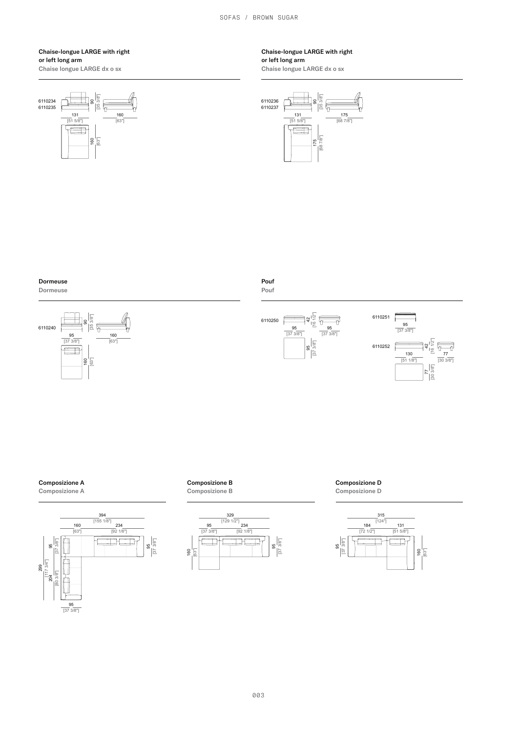SOFAS / BROWN SUGAR

### Chaise-longue LARGE with right or left long arm

Chaise longue LARGE dx o sx



Chaise-longue LARGE with right

# or left long arm

Chaise longue LARGE dx o sx



#### Dormeuse Dormeuse







# Composizione A

Composizione A



# Composizione B

Composizione B



Composizione D

Composizione D